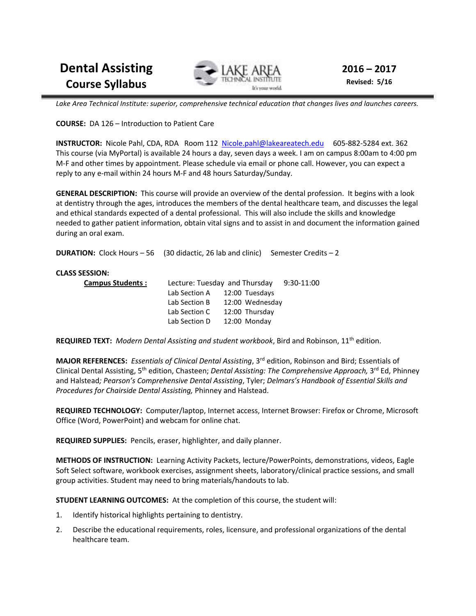**Dental Assisting Course Syllabus** 



**2016 – 2017 Revised: 5/16** 

*Lake Area Technical Institute: superior, comprehensive technical education that changes lives and launches careers.* 

**COURSE:** DA 126 – Introduction to Patient Care

**INSTRUCTOR:** Nicole Pahl, CDA, RDA Room 112 Nicole.pahl@lakeareatech.edu 605-882-5284 ext. 362 This course (via MyPortal) is available 24 hours a day, seven days a week. I am on campus 8:00am to 4:00 pm M-F and other times by appointment. Please schedule via email or phone call. However, you can expect a reply to any e-mail within 24 hours M-F and 48 hours Saturday/Sunday.

**GENERAL DESCRIPTION:** This course will provide an overview of the dental profession. It begins with a look at dentistry through the ages, introduces the members of the dental healthcare team, and discusses the legal and ethical standards expected of a dental professional. This will also include the skills and knowledge needed to gather patient information, obtain vital signs and to assist in and document the information gained during an oral exam.

**DURATION:** Clock Hours – 56 (30 didactic, 26 lab and clinic) Semester Credits – 2

#### **CLASS SESSION:**

| <b>Campus Students:</b> | Lecture: Tuesday and Thursday |                              | 9:30-11:00 |
|-------------------------|-------------------------------|------------------------------|------------|
|                         |                               | Lab Section A 12:00 Tuesdays |            |
|                         | Lab Section B                 | 12:00 Wednesdav              |            |
|                         | Lab Section C                 | 12:00 Thursday               |            |
|                         |                               | Lab Section D 12:00 Monday   |            |

**REQUIRED TEXT:** *Modern Dental Assisting and student workbook*, Bird and Robinson, 11th edition.

**MAJOR REFERENCES:** *Essentials of Clinical Dental Assisting*, 3rd edition, Robinson and Bird; Essentials of Clinical Dental Assisting, 5<sup>th</sup> edition, Chasteen; *Dental Assisting: The Comprehensive Approach*, 3<sup>rd</sup> Ed, Phinney and Halstead*; Pearson's Comprehensive Dental Assisting*, Tyler; *Delmars's Handbook of Essential Skills and Procedures for Chairside Dental Assisting,* Phinney and Halstead.

**REQUIRED TECHNOLOGY:** Computer/laptop, Internet access, Internet Browser: Firefox or Chrome, Microsoft Office (Word, PowerPoint) and webcam for online chat.

**REQUIRED SUPPLIES:** Pencils, eraser, highlighter, and daily planner.

**METHODS OF INSTRUCTION:** Learning Activity Packets, lecture/PowerPoints, demonstrations, videos, Eagle Soft Select software, workbook exercises, assignment sheets, laboratory/clinical practice sessions, and small group activities. Student may need to bring materials/handouts to lab.

**STUDENT LEARNING OUTCOMES:** At the completion of this course, the student will:

- 1. Identify historical highlights pertaining to dentistry.
- 2. Describe the educational requirements, roles, licensure, and professional organizations of the dental healthcare team.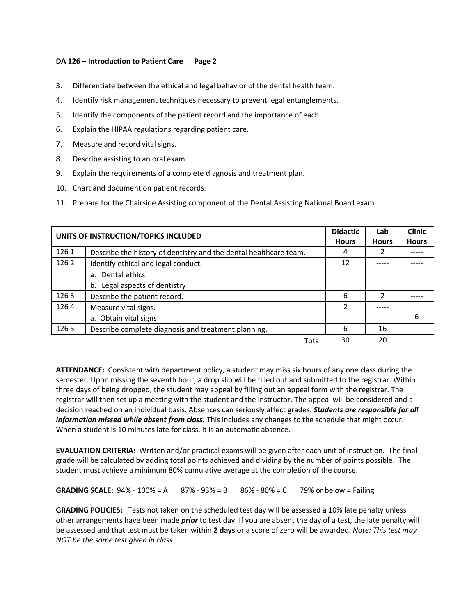- 3. Differentiate between the ethical and legal behavior of the dental health team.
- 4. Identify risk management techniques necessary to prevent legal entanglements.
- 5. Identify the components of the patient record and the importance of each.
- 6. Explain the HIPAA regulations regarding patient care.
- 7. Measure and record vital signs.
- 8. Describe assisting to an oral exam.
- 9. Explain the requirements of a complete diagnosis and treatment plan.
- 10. Chart and document on patient records.
- 11. Prepare for the Chairside Assisting component of the Dental Assisting National Board exam.

| UNITS OF INSTRUCTION/TOPICS INCLUDED |                                                                   | <b>Didactic</b><br><b>Hours</b> | Lab<br><b>Hours</b> | <b>Clinic</b><br><b>Hours</b> |
|--------------------------------------|-------------------------------------------------------------------|---------------------------------|---------------------|-------------------------------|
| 1261                                 | Describe the history of dentistry and the dental healthcare team. | 4                               | 2                   |                               |
| 1262                                 | Identify ethical and legal conduct.                               | 12                              |                     |                               |
|                                      | a. Dental ethics                                                  |                                 |                     |                               |
|                                      | Legal aspects of dentistry<br>b.                                  |                                 |                     |                               |
| 1263                                 | Describe the patient record.                                      | 6                               | $\mathcal{P}$       |                               |
| 1264                                 | Measure vital signs.                                              | 2                               |                     |                               |
|                                      | a. Obtain vital signs                                             |                                 |                     | 6                             |
| 1265                                 | Describe complete diagnosis and treatment planning.               | 6                               | 16                  |                               |
|                                      | Total                                                             | 30                              | 20                  |                               |

**ATTENDANCE:** Consistent with department policy, a student may miss six hours of any one class during the semester. Upon missing the seventh hour, a drop slip will be filled out and submitted to the registrar. Within three days of being dropped, the student may appeal by filling out an appeal form with the registrar. The registrar will then set up a meeting with the student and the instructor. The appeal will be considered and a decision reached on an individual basis. Absences can seriously affect grades. *Students are responsible for all information missed while absent from class.* This includes any changes to the schedule that might occur. When a student is 10 minutes late for class, it is an automatic absence.

**EVALUATION CRITERIA:** Written and/or practical exams will be given after each unit of instruction. The final grade will be calculated by adding total points achieved and dividing by the number of points possible. The student must achieve a minimum 80% cumulative average at the completion of the course.

**GRADING SCALE:** 94% - 100% = A  $87%$  - 93% = B  $86%$  - 80% = C 79% or below = Failing

**GRADING POLICIES:** Tests not taken on the scheduled test day will be assessed a 10% late penalty unless other arrangements have been made *prior* to test day. If you are absent the day of a test, the late penalty will be assessed and that test must be taken within **2 days** or a score of zero will be awarded. *Note: This test may NOT be the same test given in class.*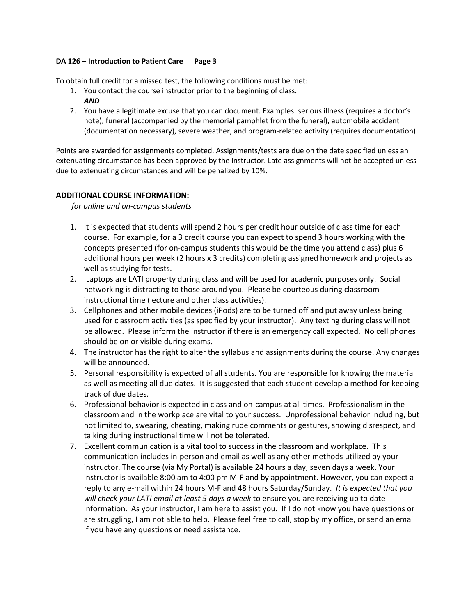To obtain full credit for a missed test, the following conditions must be met:

- 1. You contact the course instructor prior to the beginning of class. *AND*
- 2. You have a legitimate excuse that you can document. Examples: serious illness (requires a doctor's note), funeral (accompanied by the memorial pamphlet from the funeral), automobile accident (documentation necessary), severe weather, and program-related activity (requires documentation).

Points are awarded for assignments completed. Assignments/tests are due on the date specified unless an extenuating circumstance has been approved by the instructor. Late assignments will not be accepted unless due to extenuating circumstances and will be penalized by 10%.

# **ADDITIONAL COURSE INFORMATION:**

*for online and on-campus students* 

- 1. It is expected that students will spend 2 hours per credit hour outside of class time for each course. For example, for a 3 credit course you can expect to spend 3 hours working with the concepts presented (for on-campus students this would be the time you attend class) plus 6 additional hours per week (2 hours x 3 credits) completing assigned homework and projects as well as studying for tests.
- 2. Laptops are LATI property during class and will be used for academic purposes only. Social networking is distracting to those around you. Please be courteous during classroom instructional time (lecture and other class activities).
- 3. Cellphones and other mobile devices (iPods) are to be turned off and put away unless being used for classroom activities (as specified by your instructor). Any texting during class will not be allowed. Please inform the instructor if there is an emergency call expected. No cell phones should be on or visible during exams.
- 4. The instructor has the right to alter the syllabus and assignments during the course. Any changes will be announced.
- 5. Personal responsibility is expected of all students. You are responsible for knowing the material as well as meeting all due dates. It is suggested that each student develop a method for keeping track of due dates.
- 6. Professional behavior is expected in class and on-campus at all times. Professionalism in the classroom and in the workplace are vital to your success. Unprofessional behavior including, but not limited to, swearing, cheating, making rude comments or gestures, showing disrespect, and talking during instructional time will not be tolerated.
- 7. Excellent communication is a vital tool to success in the classroom and workplace. This communication includes in-person and email as well as any other methods utilized by your instructor. The course (via My Portal) is available 24 hours a day, seven days a week. Your instructor is available 8:00 am to 4:00 pm M-F and by appointment. However, you can expect a reply to any e-mail within 24 hours M-F and 48 hours Saturday/Sunday. *It is expected that you will check your LATI email at least 5 days a week* to ensure you are receiving up to date information. As your instructor, I am here to assist you. If I do not know you have questions or are struggling, I am not able to help. Please feel free to call, stop by my office, or send an email if you have any questions or need assistance.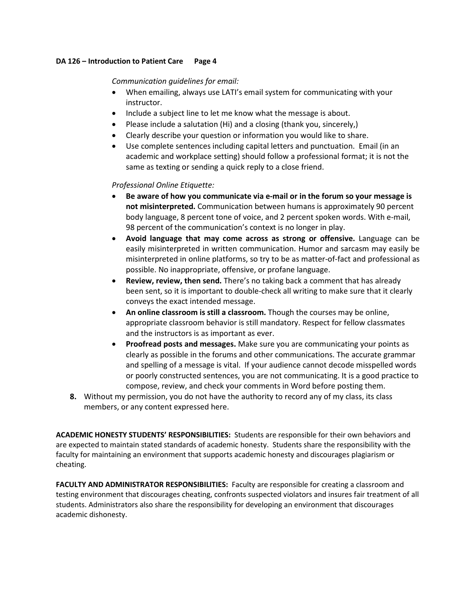# *Communication guidelines for email:*

- When emailing, always use LATI's email system for communicating with your instructor.
- Include a subject line to let me know what the message is about.
- Please include a salutation (Hi) and a closing (thank you, sincerely,)
- Clearly describe your question or information you would like to share.
- Use complete sentences including capital letters and punctuation. Email (in an academic and workplace setting) should follow a professional format; it is not the same as texting or sending a quick reply to a close friend.

# *Professional Online Etiquette:*

- **Be aware of how you communicate via e-mail or in the forum so your message is not misinterpreted.** Communication between humans is approximately 90 percent body language, 8 percent tone of voice, and 2 percent spoken words. With e-mail, 98 percent of the communication's context is no longer in play.
- **Avoid language that may come across as strong or offensive.** Language can be easily misinterpreted in written communication. Humor and sarcasm may easily be misinterpreted in online platforms, so try to be as matter-of-fact and professional as possible. No inappropriate, offensive, or profane language.
- **Review, review, then send.** There's no taking back a comment that has already been sent, so it is important to double-check all writing to make sure that it clearly conveys the exact intended message.
- **An online classroom is still a classroom.** Though the courses may be online, appropriate classroom behavior is still mandatory. Respect for fellow classmates and the instructors is as important as ever.
- **Proofread posts and messages.** Make sure you are communicating your points as clearly as possible in the forums and other communications. The accurate grammar and spelling of a message is vital. If your audience cannot decode misspelled words or poorly constructed sentences, you are not communicating. It is a good practice to compose, review, and check your comments in Word before posting them.
- **8.** Without my permission, you do not have the authority to record any of my class, its class members, or any content expressed here.

**ACADEMIC HONESTY STUDENTS' RESPONSIBILITIES:** Students are responsible for their own behaviors and are expected to maintain stated standards of academic honesty. Students share the responsibility with the faculty for maintaining an environment that supports academic honesty and discourages plagiarism or cheating.

**FACULTY AND ADMINISTRATOR RESPONSIBILITIES:** Faculty are responsible for creating a classroom and testing environment that discourages cheating, confronts suspected violators and insures fair treatment of all students. Administrators also share the responsibility for developing an environment that discourages academic dishonesty.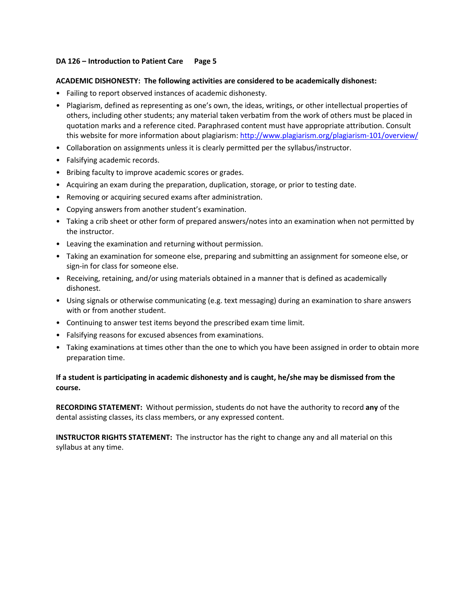#### **ACADEMIC DISHONESTY: The following activities are considered to be academically dishonest:**

- Failing to report observed instances of academic dishonesty.
- Plagiarism, defined as representing as one's own, the ideas, writings, or other intellectual properties of others, including other students; any material taken verbatim from the work of others must be placed in quotation marks and a reference cited. Paraphrased content must have appropriate attribution. Consult this website for more information about plagiarism: http://www.plagiarism.org/plagiarism-101/overview/
- Collaboration on assignments unless it is clearly permitted per the syllabus/instructor.
- Falsifying academic records.
- Bribing faculty to improve academic scores or grades.
- Acquiring an exam during the preparation, duplication, storage, or prior to testing date.
- Removing or acquiring secured exams after administration.
- Copying answers from another student's examination.
- Taking a crib sheet or other form of prepared answers/notes into an examination when not permitted by the instructor.
- Leaving the examination and returning without permission.
- Taking an examination for someone else, preparing and submitting an assignment for someone else, or sign-in for class for someone else.
- Receiving, retaining, and/or using materials obtained in a manner that is defined as academically dishonest.
- Using signals or otherwise communicating (e.g. text messaging) during an examination to share answers with or from another student.
- Continuing to answer test items beyond the prescribed exam time limit.
- Falsifying reasons for excused absences from examinations.
- Taking examinations at times other than the one to which you have been assigned in order to obtain more preparation time.

# **If a student is participating in academic dishonesty and is caught, he/she may be dismissed from the course.**

**RECORDING STATEMENT:** Without permission, students do not have the authority to record **any** of the dental assisting classes, its class members, or any expressed content.

**INSTRUCTOR RIGHTS STATEMENT:** The instructor has the right to change any and all material on this syllabus at any time.